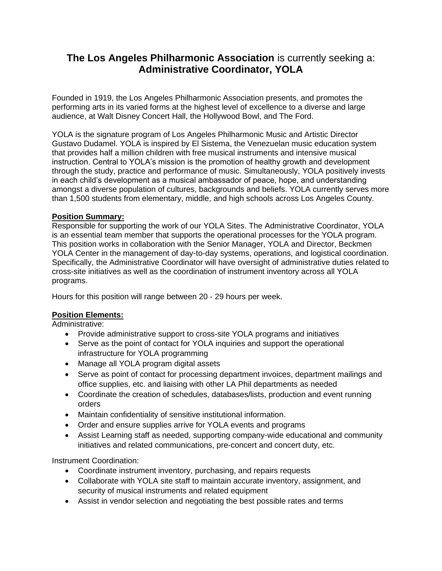# **The Los Angeles Philharmonic Association** is currently seeking a: **Administrative Coordinator, YOLA**

Founded in 1919, the Los Angeles Philharmonic Association presents, and promotes the performing arts in its varied forms at the highest level of excellence to a diverse and large audience, at Walt Disney Concert Hall, the Hollywood Bowl, and The Ford.

YOLA is the signature program of Los Angeles Philharmonic Music and Artistic Director Gustavo Dudamel. YOLA is inspired by El Sistema, the Venezuelan music education system that provides half a million children with free musical instruments and intensive musical instruction. Central to YOLA's mission is the promotion of healthy growth and development through the study, practice and performance of music. Simultaneously, YOLA positively invests in each child's development as a musical ambassador of peace, hope, and understanding amongst a diverse population of cultures, backgrounds and beliefs. YOLA currently serves more than 1,500 students from elementary, middle, and high schools across Los Angeles County.

### **Position Summary:**

Responsible for supporting the work of our YOLA Sites. The Administrative Coordinator, YOLA is an essential team member that supports the operational processes for the YOLA program. This position works in collaboration with the Senior Manager, YOLA and Director, Beckmen YOLA Center in the management of day-to-day systems, operations, and logistical coordination. Specifically, the Administrative Coordinator will have oversight of administrative duties related to cross-site initiatives as well as the coordination of instrument inventory across all YOLA programs.

Hours for this position will range between 20 - 29 hours per week.

## **Position Elements:**

Administrative:

- Provide administrative support to cross-site YOLA programs and initiatives
- Serve as the point of contact for YOLA inquiries and support the operational infrastructure for YOLA programming
- Manage all YOLA program digital assets
- Serve as point of contact for processing department invoices, department mailings and office supplies, etc. and liaising with other LA Phil departments as needed
- Coordinate the creation of schedules, databases/lists, production and event running orders
- Maintain confidentiality of sensitive institutional information.
- Order and ensure supplies arrive for YOLA events and programs
- Assist Learning staff as needed, supporting company-wide educational and community initiatives and related communications, pre-concert and concert duty, etc.

Instrument Coordination:

- Coordinate instrument inventory, purchasing, and repairs requests
- Collaborate with YOLA site staff to maintain accurate inventory, assignment, and security of musical instruments and related equipment
- Assist in vendor selection and negotiating the best possible rates and terms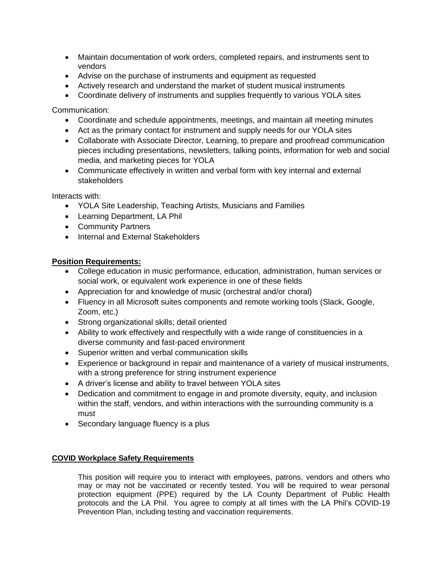- Maintain documentation of work orders, completed repairs, and instruments sent to vendors
- Advise on the purchase of instruments and equipment as requested
- Actively research and understand the market of student musical instruments
- Coordinate delivery of instruments and supplies frequently to various YOLA sites

Communication:

- Coordinate and schedule appointments, meetings, and maintain all meeting minutes
- Act as the primary contact for instrument and supply needs for our YOLA sites
- Collaborate with Associate Director, Learning, to prepare and proofread communication pieces including presentations, newsletters, talking points, information for web and social media, and marketing pieces for YOLA
- Communicate effectively in written and verbal form with key internal and external stakeholders

Interacts with:

- YOLA Site Leadership, Teaching Artists, Musicians and Families
- Learning Department, LA Phil
- Community Partners
- Internal and External Stakeholders

#### **Position Requirements:**

- College education in music performance, education, administration, human services or social work, or equivalent work experience in one of these fields
- Appreciation for and knowledge of music (orchestral and/or choral)
- Fluency in all Microsoft suites components and remote working tools (Slack, Google, Zoom, etc.)
- Strong organizational skills; detail oriented
- Ability to work effectively and respectfully with a wide range of constituencies in a diverse community and fast-paced environment
- Superior written and verbal communication skills
- Experience or background in repair and maintenance of a variety of musical instruments, with a strong preference for string instrument experience
- A driver's license and ability to travel between YOLA sites
- Dedication and commitment to engage in and promote diversity, equity, and inclusion within the staff, vendors, and within interactions with the surrounding community is a must
- Secondary language fluency is a plus

#### **COVID Workplace Safety Requirements**

This position will require you to interact with employees, patrons, vendors and others who may or may not be vaccinated or recently tested. You will be required to wear personal protection equipment (PPE) required by the LA County Department of Public Health protocols and the LA Phil. You agree to comply at all times with the LA Phil's COVID-19 Prevention Plan, including testing and vaccination requirements.